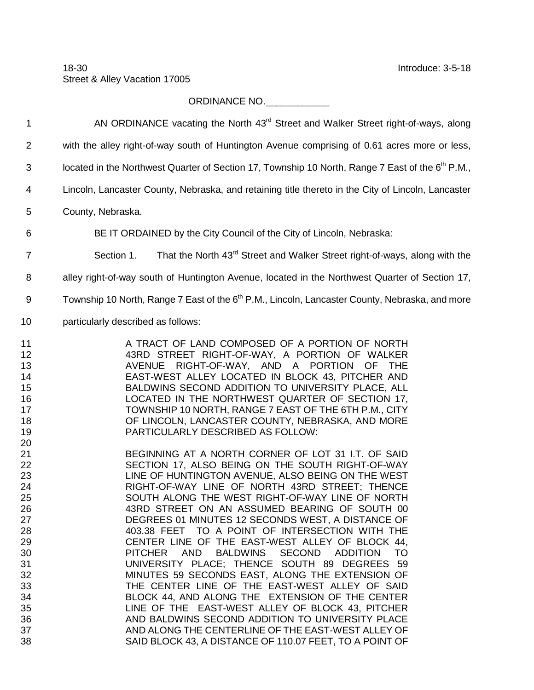## ORDINANCE NO.\_\_\_\_\_\_\_\_\_\_\_\_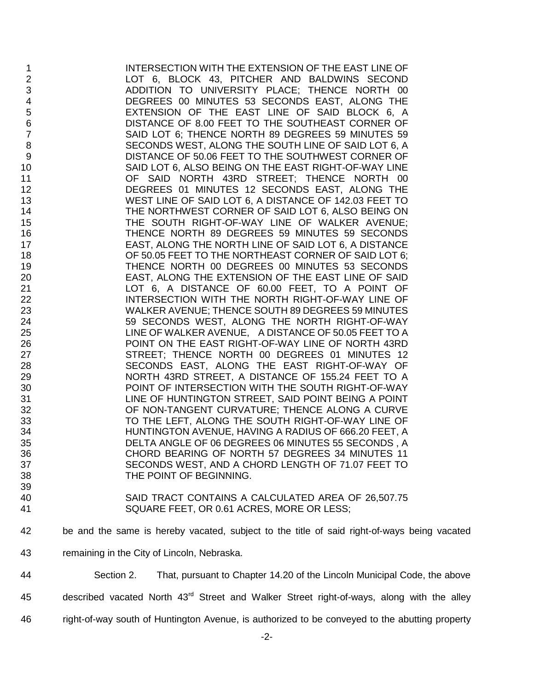INTERSECTION WITH THE EXTENSION OF THE EAST LINE OF LOT 6, BLOCK 43, PITCHER AND BALDWINS SECOND ADDITION TO UNIVERSITY PLACE; THENCE NORTH 00 DEGREES 00 MINUTES 53 SECONDS EAST, ALONG THE EXTENSION OF THE EAST LINE OF SAID BLOCK 6, A 6 DISTANCE OF 8.00 FEET TO THE SOUTHEAST CORNER OF 7<br>The SAID LOT 6; THENCE NORTH 89 DEGREES 59 MINUTES 59 SAID LOT 6; THENCE NORTH 89 DEGREES 59 MINUTES 59 SECONDS WEST, ALONG THE SOUTH LINE OF SAID LOT 6, A 9 DISTANCE OF 50.06 FEET TO THE SOUTHWEST CORNER OF<br>SAID LOT 6, ALSO BEING ON THE EAST RIGHT-OF-WAY LINE 10 SAID LOT 6, ALSO BEING ON THE EAST RIGHT-OF-WAY LINE<br>11 OF SAID NORTH 43RD STREET: THENCE NORTH 00 OF SAID NORTH 43RD STREET: THENCE NORTH 00 DEGREES 01 MINUTES 12 SECONDS EAST, ALONG THE WEST LINE OF SAID LOT 6, A DISTANCE OF 142.03 FEET TO THE NORTHWEST CORNER OF SAID LOT 6, ALSO BEING ON THE SOUTH RIGHT-OF-WAY LINE OF WALKER AVENUE; THENCE NORTH 89 DEGREES 59 MINUTES 59 SECONDS EAST, ALONG THE NORTH LINE OF SAID LOT 6, A DISTANCE OF 50.05 FEET TO THE NORTHEAST CORNER OF SAID LOT 6; THENCE NORTH 00 DEGREES 00 MINUTES 53 SECONDS EAST, ALONG THE EXTENSION OF THE EAST LINE OF SAID LOT 6, A DISTANCE OF 60.00 FEET, TO A POINT OF INTERSECTION WITH THE NORTH RIGHT-OF-WAY LINE OF WALKER AVENUE; THENCE SOUTH 89 DEGREES 59 MINUTES 59 SECONDS WEST, ALONG THE NORTH RIGHT-OF-WAY LINE OF WALKER AVENUE, A DISTANCE OF 50.05 FEET TO A POINT ON THE EAST RIGHT-OF-WAY LINE OF NORTH 43RD 27 STREET; THENCE NORTH 00 DEGREES 01 MINUTES 12 SECONDS EAST, ALONG THE EAST RIGHT-OF-WAY OF NORTH 43RD STREET, A DISTANCE OF 155.24 FEET TO A POINT OF INTERSECTION WITH THE SOUTH RIGHT-OF-WAY LINE OF HUNTINGTON STREET, SAID POINT BEING A POINT OF NON-TANGENT CURVATURE; THENCE ALONG A CURVE TO THE LEFT, ALONG THE SOUTH RIGHT-OF-WAY LINE OF HUNTINGTON AVENUE, HAVING A RADIUS OF 666.20 FEET, A DELTA ANGLE OF 06 DEGREES 06 MINUTES 55 SECONDS , A CHORD BEARING OF NORTH 57 DEGREES 34 MINUTES 11 SECONDS WEST, AND A CHORD LENGTH OF 71.07 FEET TO THE POINT OF BEGINNING. 

- SAID TRACT CONTAINS A CALCULATED AREA OF 26,507.75 SQUARE FEET, OR 0.61 ACRES, MORE OR LESS;
- be and the same is hereby vacated, subject to the title of said right-of-ways being vacated
- remaining in the City of Lincoln, Nebraska.
- Section 2. That, pursuant to Chapter 14.20 of the Lincoln Municipal Code, the above
- 45 described vacated North  $43<sup>rd</sup>$  Street and Walker Street right-of-ways, along with the alley
- right-of-way south of Huntington Avenue, is authorized to be conveyed to the abutting property